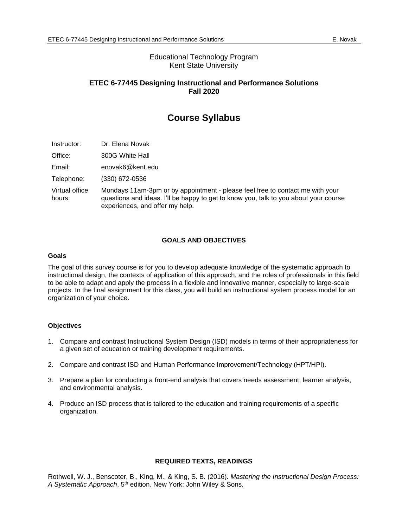# Educational Technology Program Kent State University

# **ETEC 6-77445 Designing Instructional and Performance Solutions Fall 2020**

# **Course Syllabus**

- Instructor: Dr. Elena Novak
- Office: 300G White Hall
- Email: [enovak6@kent.edu](mailto:enovak6@kent.edu)
- Telephone: (330) 672-0536

Virtual office hours: Mondays 11am-3pm or by appointment - please feel free to contact me with your questions and ideas. I'll be happy to get to know you, talk to you about your course experiences, and offer my help.

# **GOALS AND OBJECTIVES**

#### **Goals**

The goal of this survey course is for you to develop adequate knowledge of the systematic approach to instructional design, the contexts of application of this approach, and the roles of professionals in this field to be able to adapt and apply the process in a flexible and innovative manner, especially to large-scale projects. In the final assignment for this class, you will build an instructional system process model for an organization of your choice.

#### **Objectives**

- 1. Compare and contrast Instructional System Design (ISD) models in terms of their appropriateness for a given set of education or training development requirements.
- 2. Compare and contrast ISD and Human Performance Improvement/Technology (HPT/HPI).
- 3. Prepare a plan for conducting a front-end analysis that covers needs assessment, learner analysis, and environmental analysis.
- 4. Produce an ISD process that is tailored to the education and training requirements of a specific organization.

#### **REQUIRED TEXTS, READINGS**

Rothwell, W. J., Benscoter, B., King, M., & King, S. B. (2016). *Mastering the Instructional Design Process:*  A Systematic Approach, 5<sup>th</sup> edition. New York: John Wiley & Sons.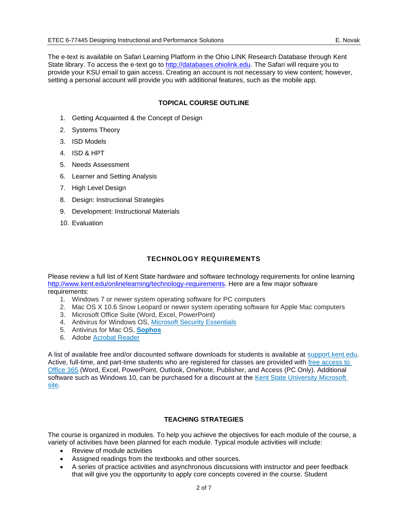The e-text is available on Safari Learning Platform in the Ohio LINK Research Database through Kent State library. To access the e-text go to [http://databases.ohiolink.edu.](http://databases.ohiolink.edu/) The Safari will require you to provide your KSU email to gain access. Creating an account is not necessary to view content; however, setting a personal account will provide you with additional features, such as the mobile app.

# **TOPICAL COURSE OUTLINE**

- 1. Getting Acquainted & the Concept of Design
- 2. Systems Theory
- 3. ISD Models
- 4. ISD & HPT
- 5. Needs Assessment
- 6. Learner and Setting Analysis
- 7. High Level Design
- 8. Design: Instructional Strategies
- 9. Development: Instructional Materials
- 10. Evaluation

# **TECHNOLOGY REQUIREMENTS**

Please review a full list of Kent State hardware and software technology requirements for online learning [http://www.kent.edu/onlinelearning/technology-requirements.](http://www.kent.edu/onlinelearning/technology-requirements) Here are a few major software requirements:

- 1. Windows 7 or newer system operating software for PC computers
- 2. Mac OS X 10.6 Snow Leopard or newer system operating software for Apple Mac computers
- 3. Microsoft Office Suite (Word, Excel, PowerPoint)
- 4. Antivirus for Windows OS, [Microsoft Security Essentials](http://windows.microsoft.com/en-us/windows/security-essentials-download)
- 5. Antivirus for Mac OS, **[Sophos](https://www.sophos.com/en-us/products/free-tools/sophos-antivirus-for-mac-home-edition.aspx)**
- 6. Adobe [Acrobat Reader](https://get.adobe.com/reader/)

A list of available free and/or discounted software downloads for students is available at [support.kent.edu.](https://support.kent.edu/sims/helpcenter/common/layout/SelfhelpArticleView.seam?inst_name=kent_student&article_id=8210-8096-9702&actionMethod=helpcenter%2Fcommon%2Flayout%2FSelfHelpHome.xhtml%3AivyTechSHPKbManager.searchKBRelatedArticleList&displaytag=tag#FreeDiscounted) Active, full-time, and part-time students who are registered for classes are provided with [free access to](https://support.kent.edu/sims/helpcenter/common/layout/SelfhelpArticleView.seam?inst_name=kent_student&article_id=8210-8096-10904&actionMethod=helpcenter%2Fcommon%2Flayout%2FSelfHelpSearchArticleResult.xhtml%3AivyTechSHPKbManager.searchKBRelatedArticleList&cid=66323)  [Office 365](https://support.kent.edu/sims/helpcenter/common/layout/SelfhelpArticleView.seam?inst_name=kent_student&article_id=8210-8096-10904&actionMethod=helpcenter%2Fcommon%2Flayout%2FSelfHelpSearchArticleResult.xhtml%3AivyTechSHPKbManager.searchKBRelatedArticleList&cid=66323) (Word, Excel, PowerPoint, Outlook, OneNote, Publisher, and Access (PC Only). Additional software such as Windows 10, can be purchased for a discount at the Kent State University Microsoft [site.](https://kent.onthehub.com/WebStore/ProductsByMajorVersionList.aspx?vsro=8)

# **TEACHING STRATEGIES**

The course is organized in modules. To help you achieve the objectives for each module of the course, a variety of activities have been planned for each module. Typical module activities will include:

- Review of module activities
- Assigned readings from the textbooks and other sources.
- A series of practice activities and asynchronous discussions with instructor and peer feedback that will give you the opportunity to apply core concepts covered in the course. Student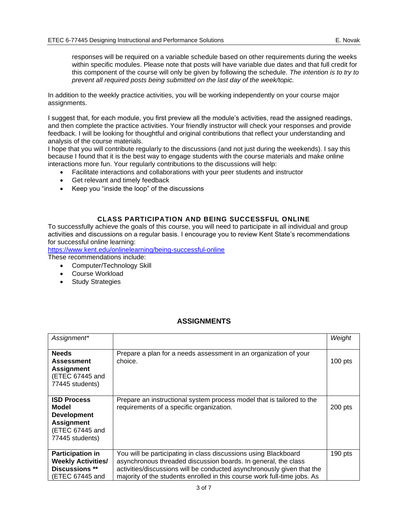responses will be required on a variable schedule based on other requirements during the weeks within specific modules. Please note that posts will have variable due dates and that full credit for this component of the course will only be given by following the schedule. *The intention is to try to prevent all required posts being submitted on the last day of the week/topic.*

In addition to the weekly practice activities, you will be working independently on your course major assignments.

I suggest that, for each module, you first preview all the module's activities, read the assigned readings, and then complete the practice activities. Your friendly instructor will check your responses and provide feedback. I will be looking for thoughtful and original contributions that reflect your understanding and analysis of the course materials.

I hope that you will contribute regularly to the discussions (and not just during the weekends). I say this because I found that it is the best way to engage students with the course materials and make online interactions more fun. Your regularly contributions to the discussions will help:

- Facilitate interactions and collaborations with your peer students and instructor
- Get relevant and timely feedback
- Keep you "inside the loop" of the discussions

# **CLASS PARTICIPATION AND BEING SUCCESSFUL ONLINE**

To successfully achieve the goals of this course, you will need to participate in all individual and group activities and discussions on a regular basis. I encourage you to review Kent State's recommendations for successful online learning:

<https://www.kent.edu/onlinelearning/being-successful-online>

These recommendations include:

- Computer/Technology Skill
- Course Workload
- **Study Strategies**

# **ASSIGNMENTS**

| Assignment*                                                                                                  |                                                                                                                                                                                                                                                                                         | Weight    |
|--------------------------------------------------------------------------------------------------------------|-----------------------------------------------------------------------------------------------------------------------------------------------------------------------------------------------------------------------------------------------------------------------------------------|-----------|
| <b>Needs</b><br><b>Assessment</b><br><b>Assignment</b><br>(ETEC 67445 and<br>77445 students)                 | Prepare a plan for a needs assessment in an organization of your<br>choice.                                                                                                                                                                                                             | $100$ pts |
| <b>ISD Process</b><br>Model<br><b>Development</b><br><b>Assignment</b><br>(ETEC 67445 and<br>77445 students) | Prepare an instructional system process model that is tailored to the<br>requirements of a specific organization.                                                                                                                                                                       | 200 pts   |
| <b>Participation in</b><br><b>Weekly Activities/</b><br>Discussions **<br>(ETEC 67445 and                    | You will be participating in class discussions using Blackboard<br>asynchronous threaded discussion boards. In general, the class<br>activities/discussions will be conducted asynchronously given that the<br>majority of the students enrolled in this course work full-time jobs. As | 190 pts   |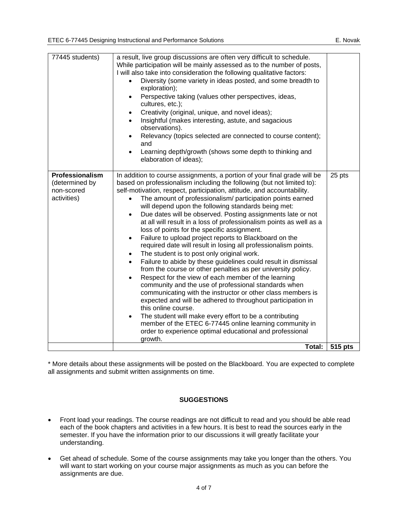\* More details about these assignments will be posted on the Blackboard. You are expected to complete all assignments and submit written assignments on time.

# **SUGGESTIONS**

- Front load your readings. The course readings are not difficult to read and you should be able read each of the book chapters and activities in a few hours. It is best to read the sources early in the semester. If you have the information prior to our discussions it will greatly facilitate your understanding.
- Get ahead of schedule. Some of the course assignments may take you longer than the others. You will want to start working on your course major assignments as much as you can before the assignments are due.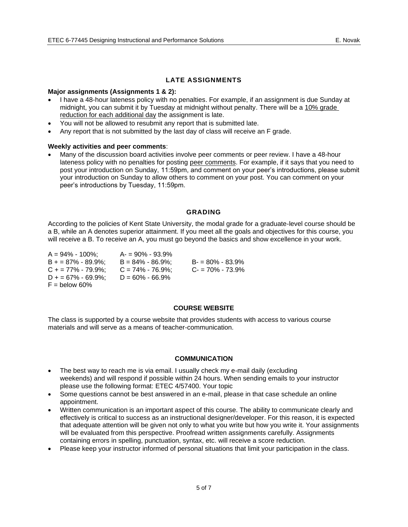# **LATE ASSIGNMENTS**

#### **Major assignments (Assignments 1 & 2):**

- I have a 48-hour lateness policy with no penalties. For example, if an assignment is due Sunday at midnight, you can submit it by Tuesday at midnight without penalty. There will be a 10% grade reduction for each additional day the assignment is late.
- You will not be allowed to resubmit any report that is submitted late.
- Any report that is not submitted by the last day of class will receive an F grade.

#### **Weekly activities and peer comments**:

• Many of the discussion board activities involve peer comments or peer review. I have a 48-hour lateness policy with no penalties for posting peer comments. For example, if it says that you need to post your introduction on Sunday, 11:59pm, and comment on your peer's introductions, please submit your introduction on Sunday to allow others to comment on your post. You can comment on your peer's introductions by Tuesday, 11:59pm.

#### **GRADING**

According to the policies of Kent State University, the modal grade for a graduate-level course should be a B, while an A denotes superior attainment. If you meet all the goals and objectives for this course, you will receive a B. To receive an A, you must go beyond the basics and show excellence in your work.

| $A = 94\% - 100\%$   | $A = 90\% - 93.9\%$ |                     |
|----------------------|---------------------|---------------------|
| $B + 87\% - 89.9\%$  | $B = 84\% - 86.9\%$ | $B = 80\% - 83.9\%$ |
| $C_+$ = 77% - 79.9%: | $C = 74\% - 76.9\%$ | $C = 70\% - 73.9\%$ |
| $D + 67\% - 69.9\%$  | $D = 60\% - 66.9\%$ |                     |
| $F =$ below 60%      |                     |                     |

#### **COURSE WEBSITE**

The class is supported by a course website that provides students with access to various course materials and will serve as a means of teacher-communication.

#### **COMMUNICATION**

- The best way to reach me is via email. I usually check my e-mail daily (excluding weekends) and will respond if possible within 24 hours. When sending emails to your instructor please use the following format: ETEC 4/57400. Your topic
- Some questions cannot be best answered in an e-mail, please in that case schedule an online appointment.
- Written communication is an important aspect of this course. The ability to communicate clearly and effectively is critical to success as an instructional designer/developer. For this reason, it is expected that adequate attention will be given not only to what you write but how you write it. Your assignments will be evaluated from this perspective. Proofread written assignments carefully. Assignments containing errors in spelling, punctuation, syntax, etc. will receive a score reduction.
- Please keep your instructor informed of personal situations that limit your participation in the class.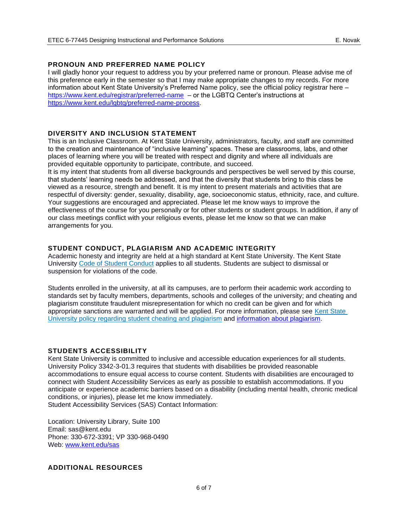## **PRONOUN AND PREFERRED NAME POLICY**

I will gladly honor your request to address you by your preferred name or pronoun. Please advise me of this preference early in the semester so that I may make appropriate changes to my records. For more information about Kent State University's Preferred Name policy, see the official policy registrar here – <https://www.kent.edu/registrar/preferred-name>– or the LGBTQ Center's instructions at [https://www.kent.edu/lgbtq/preferred-name-process.](https://www.kent.edu/lgbtq/preferred-name-process)

### **DIVERSITY AND INCLUSION STATEMENT**

This is an Inclusive Classroom. At Kent State University, administrators, faculty, and staff are committed to the creation and maintenance of "inclusive learning" spaces. These are classrooms, labs, and other places of learning where you will be treated with respect and dignity and where all individuals are provided equitable opportunity to participate, contribute, and succeed.

It is my intent that students from all diverse backgrounds and perspectives be well served by this course, that students' learning needs be addressed, and that the diversity that students bring to this class be viewed as a resource, strength and benefit. It is my intent to present materials and activities that are respectful of diversity: gender, sexuality, disability, age, socioeconomic status, ethnicity, race, and culture. Your suggestions are encouraged and appreciated. Please let me know ways to improve the effectiveness of the course for you personally or for other students or student groups. In addition, if any of our class meetings conflict with your religious events, please let me know so that we can make arrangements for you.

### **STUDENT CONDUCT, PLAGIARISM AND ACADEMIC INTEGRITY**

Academic honesty and integrity are held at a high standard at Kent State University. The Kent State University [Code of Student Conduct](https://www.kent.edu/studentconduct/code-student-conduct) applies to all students. Students are subject to dismissal or suspension for violations of the code.

Students enrolled in the university, at all its campuses, are to perform their academic work according to standards set by faculty members, departments, schools and colleges of the university; and cheating and plagiarism constitute fraudulent misrepresentation for which no credit can be given and for which appropriate sanctions are warranted and will be applied. For more information, please see [Kent State](https://www.kent.edu/policyreg/administrative-policy-regarding-student-cheating-and-plagiarism)  [University policy regarding student cheating and plagiarism](https://www.kent.edu/policyreg/administrative-policy-regarding-student-cheating-and-plagiarism) and [information about plagiarism.](https://www.kent.edu/plagiarism/information-students)

#### **STUDENTS ACCESSIBILITY**

Kent State University is committed to inclusive and accessible education experiences for all students. University Policy 3342-3-01.3 requires that students with disabilities be provided reasonable accommodations to ensure equal access to course content. Students with disabilities are encouraged to connect with Student Accessibility Services as early as possible to establish accommodations. If you anticipate or experience academic barriers based on a disability (including mental health, chronic medical conditions, or injuries), please let me know immediately.

Student Accessibility Services (SAS) Contact Information:

Location: University Library, Suite 100 Email: [sas@kent.edu](mailto:sas@kent.edu) Phone: 330-672-3391; VP 330-968-0490 Web: [www.kent.edu/sas](https://www.kent.edu/sas)

#### **ADDITIONAL RESOURCES**